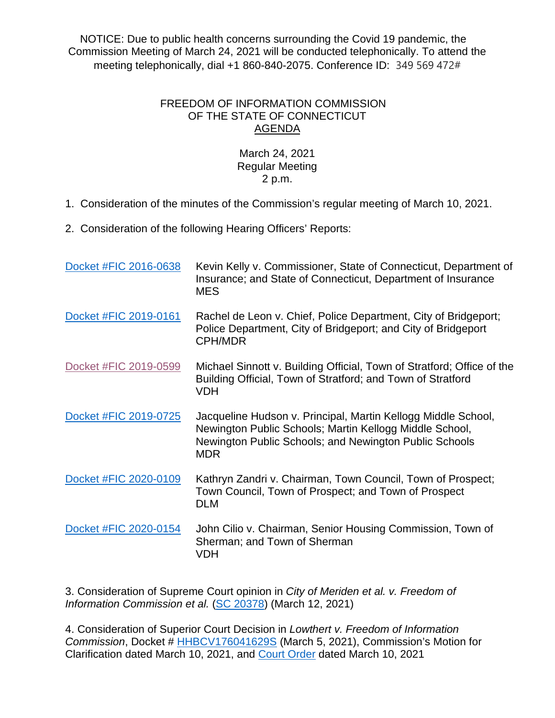NOTICE: Due to public health concerns surrounding the Covid 19 pandemic, the Commission Meeting of March 24, 2021 will be conducted telephonically. To attend the meeting telephonically, dial +1 860-840-2075. Conference ID: 349 569 472#

## FREEDOM OF INFORMATION COMMISSION OF THE STATE OF CONNECTICUT AGENDA

## March 24, 2021 Regular Meeting 2 p.m.

1. Consideration of the minutes of the Commission's regular meeting of March 10, 2021.

2. Consideration of the following Hearing Officers' Reports:

| Docket #FIC 2016-0638 | Kevin Kelly v. Commissioner, State of Connecticut, Department of<br>Insurance; and State of Connecticut, Department of Insurance<br><b>MES</b>                                                   |
|-----------------------|--------------------------------------------------------------------------------------------------------------------------------------------------------------------------------------------------|
| Docket #FIC 2019-0161 | Rachel de Leon v. Chief, Police Department, City of Bridgeport;<br>Police Department, City of Bridgeport; and City of Bridgeport<br><b>CPH/MDR</b>                                               |
| Docket #FIC 2019-0599 | Michael Sinnott v. Building Official, Town of Stratford; Office of the<br>Building Official, Town of Stratford; and Town of Stratford<br><b>VDH</b>                                              |
| Docket #FIC 2019-0725 | Jacqueline Hudson v. Principal, Martin Kellogg Middle School,<br>Newington Public Schools; Martin Kellogg Middle School,<br>Newington Public Schools; and Newington Public Schools<br><b>MDR</b> |
| Docket #FIC 2020-0109 | Kathryn Zandri v. Chairman, Town Council, Town of Prospect;<br>Town Council, Town of Prospect; and Town of Prospect<br><b>DLM</b>                                                                |
| Docket #FIC 2020-0154 | John Cilio v. Chairman, Senior Housing Commission, Town of<br>Sherman; and Town of Sherman<br><b>VDH</b>                                                                                         |

3. Consideration of Supreme Court opinion in *City of Meriden et al. v. Freedom of Information Commission et al.* [\(SC 20378\)](https://portal.ct.gov/-/media/FOI/CourtDecisions/CD2021/Meriden-v-FOIC-Supreme-CT-3-12-21.pdf) (March 12, 2021)

4. Consideration of Superior Court Decision in *Lowthert v. Freedom of Information Commission*, Docket # [HHBCV176041629S](http://civilinquiry.jud.ct.gov/DocumentInquiry/DocumentInquiry.aspx?DocumentNo=20342113) (March 5, 2021), Commission's Motion for Clarification dated March 10, 2021, and [Court Order](http://civilinquiry.jud.ct.gov/DocumentInquiry/DocumentInquiry.aspx?DocumentNo=20367366) dated March 10, 2021